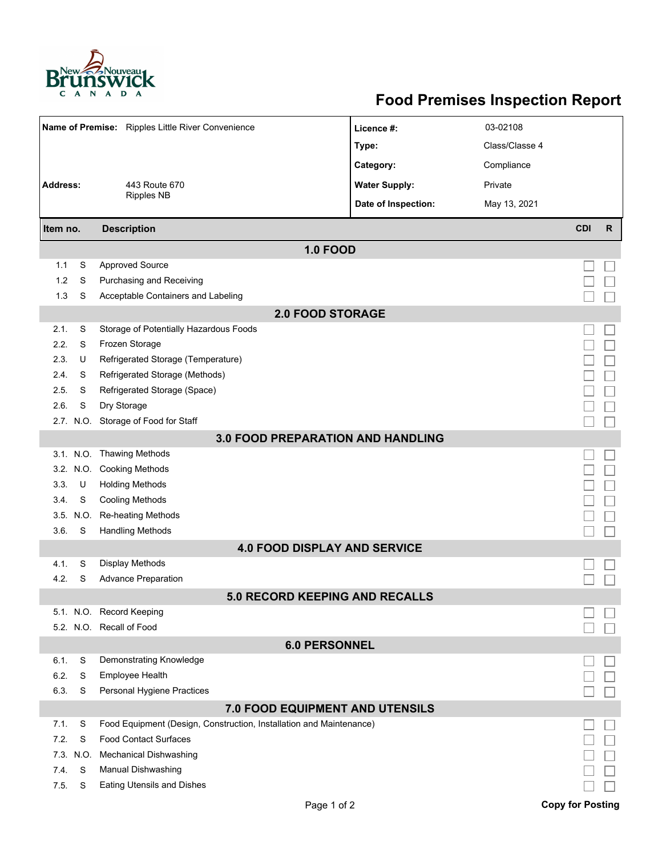

## **Food Premises Inspection Report**

|                                                   |           |                                                                     |                      | 03-02108       |                         |              |  |  |  |  |  |
|---------------------------------------------------|-----------|---------------------------------------------------------------------|----------------------|----------------|-------------------------|--------------|--|--|--|--|--|
| Name of Premise: Ripples Little River Convenience |           |                                                                     | Licence #:           |                |                         |              |  |  |  |  |  |
|                                                   |           |                                                                     | Type:                | Class/Classe 4 |                         |              |  |  |  |  |  |
|                                                   |           |                                                                     | Category:            | Compliance     |                         |              |  |  |  |  |  |
| <b>Address:</b>                                   |           | 443 Route 670                                                       | <b>Water Supply:</b> | Private        |                         |              |  |  |  |  |  |
|                                                   |           | <b>Ripples NB</b>                                                   | Date of Inspection:  | May 13, 2021   |                         |              |  |  |  |  |  |
| Item no.                                          |           | <b>Description</b>                                                  |                      |                | <b>CDI</b>              | $\mathsf{R}$ |  |  |  |  |  |
| <b>1.0 FOOD</b>                                   |           |                                                                     |                      |                |                         |              |  |  |  |  |  |
| 1.1                                               | S         | <b>Approved Source</b>                                              |                      |                |                         |              |  |  |  |  |  |
| 1.2                                               | S         | Purchasing and Receiving                                            |                      |                |                         |              |  |  |  |  |  |
| 1.3                                               | S         | Acceptable Containers and Labeling                                  |                      |                |                         |              |  |  |  |  |  |
| <b>2.0 FOOD STORAGE</b>                           |           |                                                                     |                      |                |                         |              |  |  |  |  |  |
| 2.1.                                              | S         | Storage of Potentially Hazardous Foods                              |                      |                |                         |              |  |  |  |  |  |
| 2.2.                                              | S         | Frozen Storage                                                      |                      |                |                         |              |  |  |  |  |  |
| 2.3.                                              | U         | Refrigerated Storage (Temperature)                                  |                      |                |                         |              |  |  |  |  |  |
| 2.4.                                              | S         | Refrigerated Storage (Methods)                                      |                      |                |                         |              |  |  |  |  |  |
| 2.5.                                              | S         | Refrigerated Storage (Space)                                        |                      |                |                         |              |  |  |  |  |  |
| 2.6.                                              | S         | Dry Storage                                                         |                      |                |                         |              |  |  |  |  |  |
|                                                   |           | 2.7. N.O. Storage of Food for Staff                                 |                      |                |                         |              |  |  |  |  |  |
| 3.0 FOOD PREPARATION AND HANDLING                 |           |                                                                     |                      |                |                         |              |  |  |  |  |  |
|                                                   |           | 3.1. N.O. Thawing Methods                                           |                      |                |                         |              |  |  |  |  |  |
|                                                   |           | 3.2. N.O. Cooking Methods                                           |                      |                |                         |              |  |  |  |  |  |
| 3.3.                                              | U         | <b>Holding Methods</b>                                              |                      |                |                         |              |  |  |  |  |  |
| 3.4.                                              | S         | <b>Cooling Methods</b>                                              |                      |                |                         |              |  |  |  |  |  |
|                                                   | 3.5. N.O. | Re-heating Methods                                                  |                      |                |                         |              |  |  |  |  |  |
| 3.6.                                              |           | S<br><b>Handling Methods</b>                                        |                      |                |                         |              |  |  |  |  |  |
|                                                   |           | <b>4.0 FOOD DISPLAY AND SERVICE</b>                                 |                      |                |                         |              |  |  |  |  |  |
| 4.1.                                              | S         | <b>Display Methods</b>                                              |                      |                |                         |              |  |  |  |  |  |
| 4.2.                                              | S         | <b>Advance Preparation</b>                                          |                      |                |                         |              |  |  |  |  |  |
|                                                   |           | <b>5.0 RECORD KEEPING AND RECALLS</b>                               |                      |                |                         |              |  |  |  |  |  |
|                                                   |           | 5.1. N.O. Record Keeping                                            |                      |                |                         |              |  |  |  |  |  |
|                                                   |           | 5.2. N.O. Recall of Food                                            |                      |                |                         |              |  |  |  |  |  |
| <b>6.0 PERSONNEL</b>                              |           |                                                                     |                      |                |                         |              |  |  |  |  |  |
| 6.1.                                              | S         | Demonstrating Knowledge                                             |                      |                |                         |              |  |  |  |  |  |
| 6.2.                                              | S         | Employee Health                                                     |                      |                |                         |              |  |  |  |  |  |
| 6.3.                                              | S         | Personal Hygiene Practices                                          |                      |                |                         |              |  |  |  |  |  |
| 7.0 FOOD EQUIPMENT AND UTENSILS                   |           |                                                                     |                      |                |                         |              |  |  |  |  |  |
| 7.1.                                              | S         | Food Equipment (Design, Construction, Installation and Maintenance) |                      |                |                         |              |  |  |  |  |  |
| 7.2.                                              | S         | <b>Food Contact Surfaces</b>                                        |                      |                |                         |              |  |  |  |  |  |
| 7.3.<br>7.4.                                      | N.O.<br>S | <b>Mechanical Dishwashing</b>                                       |                      |                |                         |              |  |  |  |  |  |
| 7.5.                                              | S         | Manual Dishwashing<br><b>Eating Utensils and Dishes</b>             |                      |                |                         |              |  |  |  |  |  |
|                                                   |           |                                                                     |                      |                |                         |              |  |  |  |  |  |
|                                                   |           | Page 1 of 2                                                         |                      |                | <b>Copy for Posting</b> |              |  |  |  |  |  |